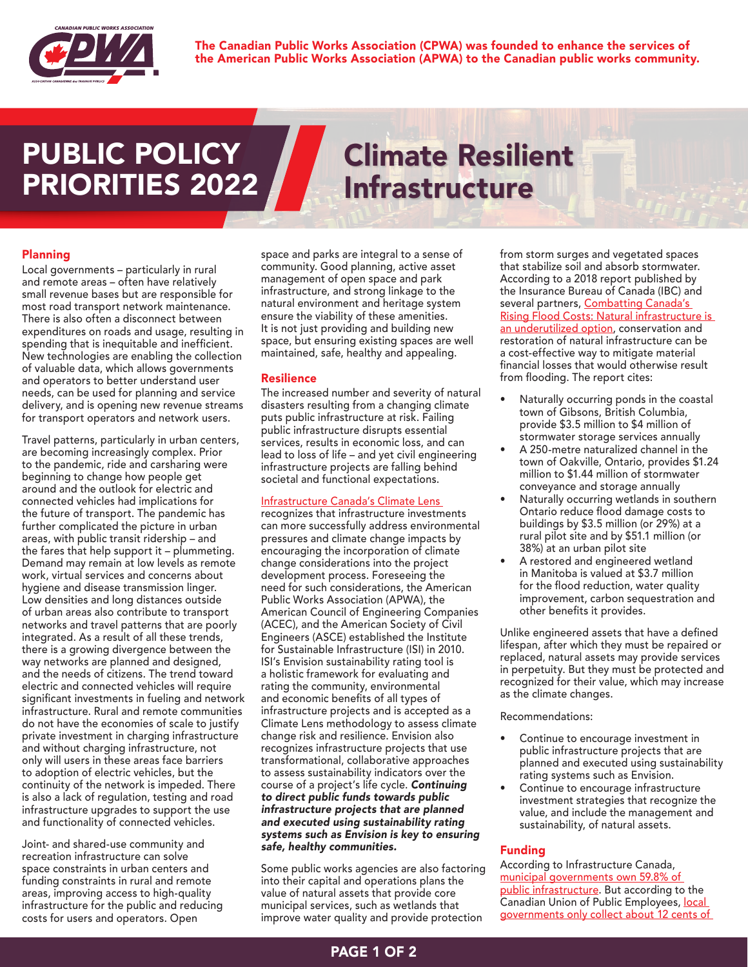

The Canadian Public Works Association (CPWA) was founded to enhance the services of the American Public Works Association (APWA) to the Canadian public works community.

# PUBLIC POLICY PRIORITIES 2022

# Climate Resilient Infrastructure

# Planning

Local governments – particularly in rural and remote areas – often have relatively small revenue bases but are responsible for most road transport network maintenance. There is also often a disconnect between expenditures on roads and usage, resulting in spending that is inequitable and inefficient. New technologies are enabling the collection of valuable data, which allows governments and operators to better understand user needs, can be used for planning and service delivery, and is opening new revenue streams for transport operators and network users.

Travel patterns, particularly in urban centers, are becoming increasingly complex. Prior to the pandemic, ride and carsharing were beginning to change how people get around and the outlook for electric and connected vehicles had implications for the future of transport. The pandemic has further complicated the picture in urban areas, with public transit ridership – and the fares that help support it – plummeting. Demand may remain at low levels as remote work, virtual services and concerns about hygiene and disease transmission linger. Low densities and long distances outside of urban areas also contribute to transport networks and travel patterns that are poorly integrated. As a result of all these trends, there is a growing divergence between the way networks are planned and designed, and the needs of citizens. The trend toward electric and connected vehicles will require significant investments in fueling and network infrastructure. Rural and remote communities do not have the economies of scale to justify private investment in charging infrastructure and without charging infrastructure, not only will users in these areas face barriers to adoption of electric vehicles, but the continuity of the network is impeded. There is also a lack of regulation, testing and road infrastructure upgrades to support the use and functionality of connected vehicles.

Joint- and shared-use community and recreation infrastructure can solve space constraints in urban centers and funding constraints in rural and remote areas, improving access to high-quality infrastructure for the public and reducing costs for users and operators. Open

space and parks are integral to a sense of community. Good planning, active asset management of open space and park infrastructure, and strong linkage to the natural environment and heritage system ensure the viability of these amenities. It is not just providing and building new space, but ensuring existing spaces are well maintained, safe, healthy and appealing.

## Resilience

The increased number and severity of natural disasters resulting from a changing climate puts public infrastructure at risk. Failing public infrastructure disrupts essential services, results in economic loss, and can lead to loss of life – and yet civil engineering infrastructure projects are falling behind societal and functional expectations.

### [Infrastructure Canada's Climate Lens](https://www.infrastructure.gc.ca/pub/other-autre/cl-occ-eng.html)

recognizes that infrastructure investments can more successfully address environmental pressures and climate change impacts by encouraging the incorporation of climate change considerations into the project development process. Foreseeing the need for such considerations, the American Public Works Association (APWA), the American Council of Engineering Companies (ACEC), and the American Society of Civil Engineers (ASCE) established the Institute for Sustainable Infrastructure (ISI) in 2010. ISI's Envision sustainability rating tool is a holistic framework for evaluating and rating the community, environmental and economic benefits of all types of infrastructure projects and is accepted as a Climate Lens methodology to assess climate change risk and resilience. Envision also recognizes infrastructure projects that use transformational, collaborative approaches to assess sustainability indicators over the course of a project's life cycle. *Continuing to direct public funds towards public infrastructure projects that are planned and executed using sustainability rating systems such as Envision is key to ensuring safe, healthy communities.*

Some public works agencies are also factoring into their capital and operations plans the value of natural assets that provide core municipal services, such as wetlands that improve water quality and provide protection

from storm surges and vegetated spaces that stabilize soil and absorb stormwater. According to a 2018 report published by the Insurance Bureau of Canada (IBC) and several partners, Combatting Canada's [Rising Flood Costs: Natural infrastructure is](http://www.ibc.ca/on/resources/studies/natural-infrastructure-is-an-underutilized-option)  [an underutilized option,](http://www.ibc.ca/on/resources/studies/natural-infrastructure-is-an-underutilized-option) conservation and restoration of natural infrastructure can be a cost-effective way to mitigate material financial losses that would otherwise result from flooding. The report cites:

- Naturally occurring ponds in the coastal town of Gibsons, British Columbia, provide \$3.5 million to \$4 million of stormwater storage services annually
- A 250-metre naturalized channel in the town of Oakville, Ontario, provides \$1.24 million to \$1.44 million of stormwater conveyance and storage annually
- Naturally occurring wetlands in southern Ontario reduce flood damage costs to buildings by \$3.5 million (or 29%) at a rural pilot site and by \$51.1 million (or 38%) at an urban pilot site
- A restored and engineered wetland in Manitoba is valued at \$3.7 million for the flood reduction, water quality improvement, carbon sequestration and other benefits it provides.

Unlike engineered assets that have a defined lifespan, after which they must be repaired or replaced, natural assets may provide services in perpetuity. But they must be protected and recognized for their value, which may increase as the climate changes.

#### Recommendations:

- Continue to encourage investment in public infrastructure projects that are planned and executed using sustainability rating systems such as Envision.
- Continue to encourage infrastructure investment strategies that recognize the value, and include the management and sustainability, of natural assets.

# Funding

According to Infrastructure Canada, [municipal governments own 59.8% of](https://www.infrastructure.gc.ca/plan/icp-publication-pic-eng.html#1.2)  [public infrastructure](https://www.infrastructure.gc.ca/plan/icp-publication-pic-eng.html#1.2). But according to the Canadian Union of Public Employees, [local](https://cupe.ca/fair-taxes-and-municipal-revenues)  [governments only collect about 12 cents of](https://cupe.ca/fair-taxes-and-municipal-revenues)